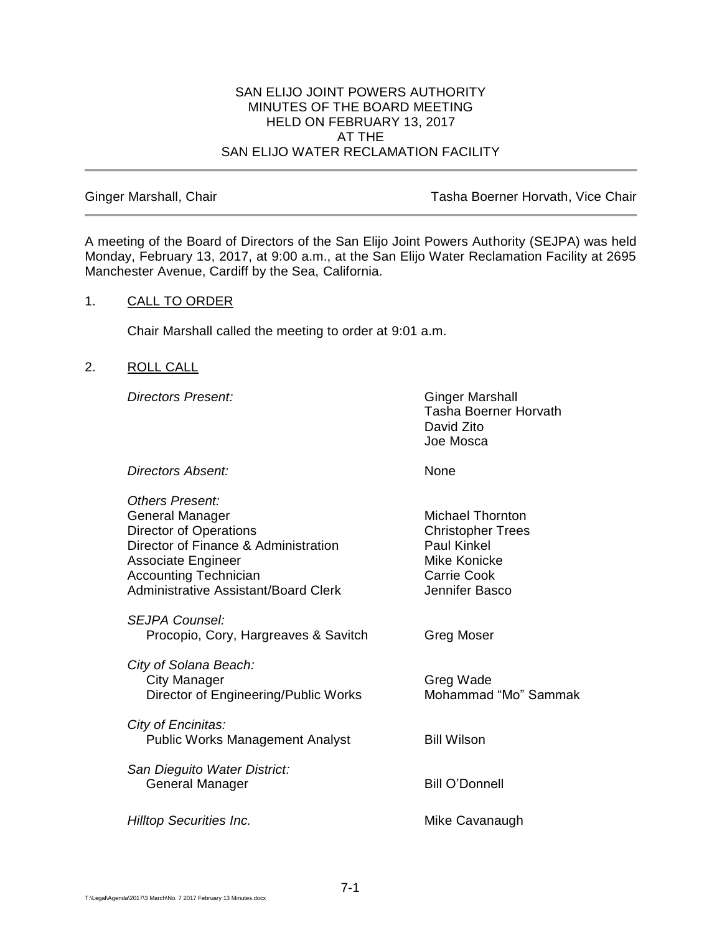#### SAN ELIJO JOINT POWERS AUTHORITY MINUTES OF THE BOARD MEETING HELD ON FEBRUARY 13, 2017 AT THE SAN ELIJO WATER RECLAMATION FACILITY

Ginger Marshall, Chair **Tasha Boerner Horvath, Vice Chair** Tasha Boerner Horvath, Vice Chair

A meeting of the Board of Directors of the San Elijo Joint Powers Authority (SEJPA) was held Monday, February 13, 2017, at 9:00 a.m., at the San Elijo Water Reclamation Facility at 2695 Manchester Avenue, Cardiff by the Sea, California.

## 1. CALL TO ORDER

Chair Marshall called the meeting to order at 9:01 a.m.

## 2. ROLL CALL

**Directors Present:** Ginger Marshall

Tasha Boerner Horvath David Zito Joe Mosca

*Directors Absent:* None

| <b>Others Present:</b><br>General Manager<br><b>Director of Operations</b><br>Director of Finance & Administration<br><b>Associate Engineer</b><br><b>Accounting Technician</b><br><b>Administrative Assistant/Board Clerk</b> | Michael Thornton<br><b>Christopher Trees</b><br>Paul Kinkel<br>Mike Konicke<br><b>Carrie Cook</b><br>Jennifer Basco |
|--------------------------------------------------------------------------------------------------------------------------------------------------------------------------------------------------------------------------------|---------------------------------------------------------------------------------------------------------------------|
| <b>SEJPA Counsel:</b><br>Procopio, Cory, Hargreaves & Savitch                                                                                                                                                                  | Greg Moser                                                                                                          |
| City of Solana Beach:<br>City Manager<br>Director of Engineering/Public Works                                                                                                                                                  | Greg Wade<br>Mohammad "Mo" Sammak                                                                                   |
| City of Encinitas:<br><b>Public Works Management Analyst</b>                                                                                                                                                                   | <b>Bill Wilson</b>                                                                                                  |
| San Dieguito Water District:<br>General Manager                                                                                                                                                                                | <b>Bill O'Donnell</b>                                                                                               |
| <b>Hilltop Securities Inc.</b>                                                                                                                                                                                                 | Mike Cavanaugh                                                                                                      |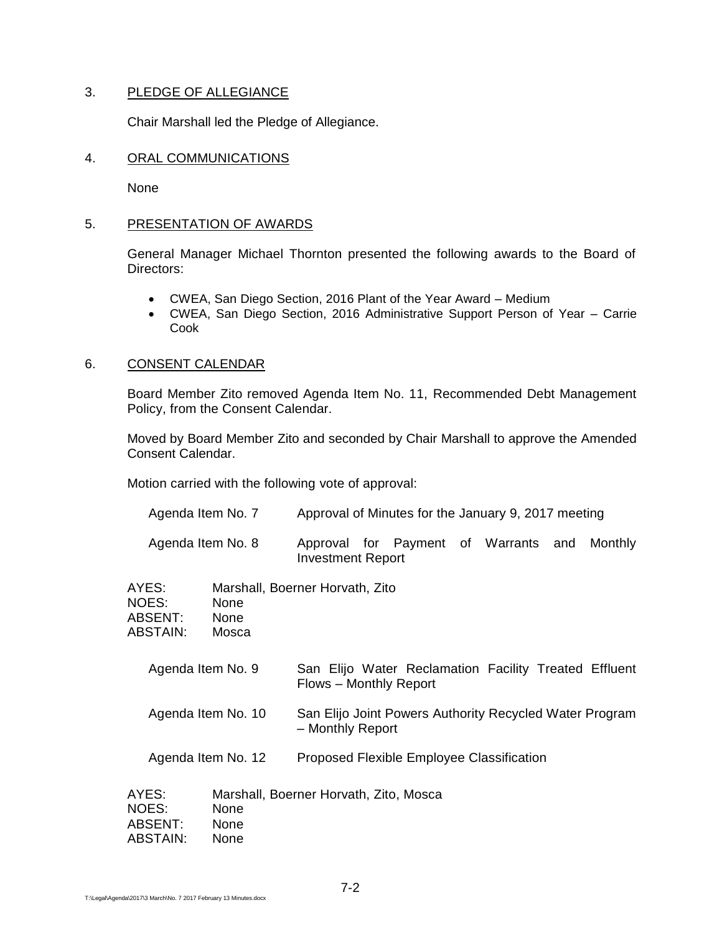## 3. PLEDGE OF ALLEGIANCE

Chair Marshall led the Pledge of Allegiance.

#### 4. ORAL COMMUNICATIONS

None

## 5. PRESENTATION OF AWARDS

General Manager Michael Thornton presented the following awards to the Board of Directors:

- CWEA, San Diego Section, 2016 Plant of the Year Award Medium
- CWEA, San Diego Section, 2016 Administrative Support Person of Year Carrie Cook

## 6. CONSENT CALENDAR

Board Member Zito removed Agenda Item No. 11, Recommended Debt Management Policy, from the Consent Calendar.

Moved by Board Member Zito and seconded by Chair Marshall to approve the Amended Consent Calendar.

Motion carried with the following vote of approval:

|                                              |                   | Agenda Item No. 7     | Approval of Minutes for the January 9, 2017 meeting                             |  |  |     |         |  |
|----------------------------------------------|-------------------|-----------------------|---------------------------------------------------------------------------------|--|--|-----|---------|--|
|                                              | Agenda Item No. 8 |                       | Approval for Payment of Warrants<br><b>Investment Report</b>                    |  |  | and | Monthly |  |
| AYES:<br><b>NOES:</b><br>ABSTAIN:            | ABSENT:           | None<br>None<br>Mosca | Marshall, Boerner Horvath, Zito                                                 |  |  |     |         |  |
| Agenda Item No. 9<br>Agenda Item No. 10      |                   |                       | San Elijo Water Reclamation Facility Treated Effluent<br>Flows - Monthly Report |  |  |     |         |  |
|                                              |                   |                       | San Elijo Joint Powers Authority Recycled Water Program<br>- Monthly Report     |  |  |     |         |  |
| Agenda Item No. 12                           |                   |                       | Proposed Flexible Employee Classification                                       |  |  |     |         |  |
| AYES:<br><b>NOES:</b><br>ABSENT:<br>ABSTAIN: |                   | None<br>None<br>None  | Marshall, Boerner Horvath, Zito, Mosca                                          |  |  |     |         |  |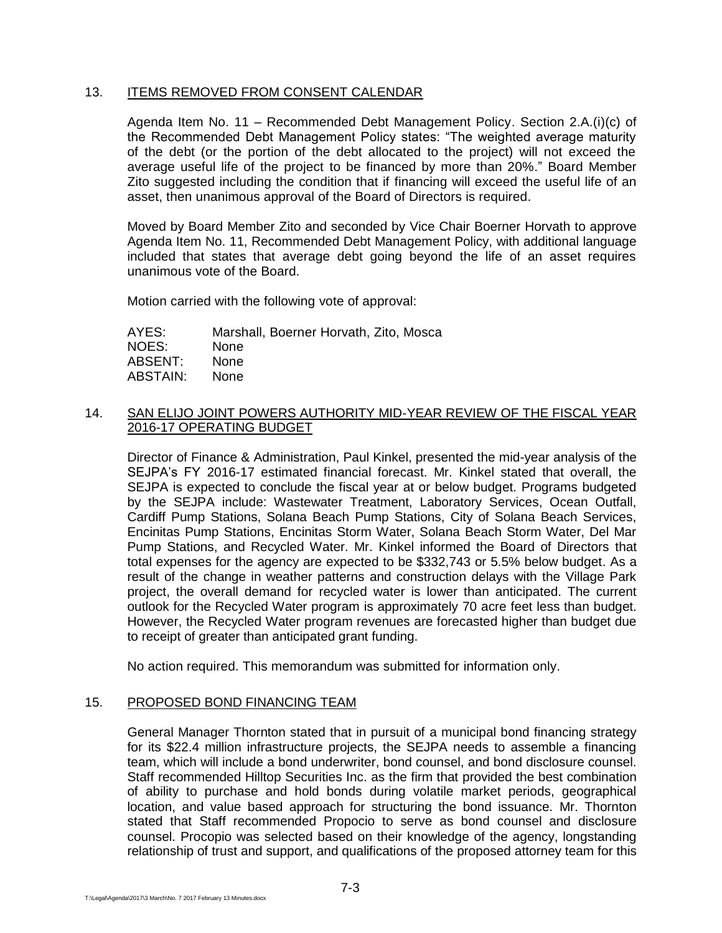## 13. ITEMS REMOVED FROM CONSENT CALENDAR

Agenda Item No. 11 – Recommended Debt Management Policy. Section 2.A.(i)(c) of the Recommended Debt Management Policy states: "The weighted average maturity of the debt (or the portion of the debt allocated to the project) will not exceed the average useful life of the project to be financed by more than 20%." Board Member Zito suggested including the condition that if financing will exceed the useful life of an asset, then unanimous approval of the Board of Directors is required.

Moved by Board Member Zito and seconded by Vice Chair Boerner Horvath to approve Agenda Item No. 11, Recommended Debt Management Policy, with additional language included that states that average debt going beyond the life of an asset requires unanimous vote of the Board.

Motion carried with the following vote of approval:

AYES: Marshall, Boerner Horvath, Zito, Mosca NOES: None ABSENT: None ABSTAIN: None

## 14. SAN ELIJO JOINT POWERS AUTHORITY MID-YEAR REVIEW OF THE FISCAL YEAR 2016-17 OPERATING BUDGET

Director of Finance & Administration, Paul Kinkel, presented the mid-year analysis of the SEJPA's FY 2016-17 estimated financial forecast. Mr. Kinkel stated that overall, the SEJPA is expected to conclude the fiscal year at or below budget. Programs budgeted by the SEJPA include: Wastewater Treatment, Laboratory Services, Ocean Outfall, Cardiff Pump Stations, Solana Beach Pump Stations, City of Solana Beach Services, Encinitas Pump Stations, Encinitas Storm Water, Solana Beach Storm Water, Del Mar Pump Stations, and Recycled Water. Mr. Kinkel informed the Board of Directors that total expenses for the agency are expected to be \$332,743 or 5.5% below budget. As a result of the change in weather patterns and construction delays with the Village Park project, the overall demand for recycled water is lower than anticipated. The current outlook for the Recycled Water program is approximately 70 acre feet less than budget. However, the Recycled Water program revenues are forecasted higher than budget due to receipt of greater than anticipated grant funding.

No action required. This memorandum was submitted for information only.

#### 15. PROPOSED BOND FINANCING TEAM

General Manager Thornton stated that in pursuit of a municipal bond financing strategy for its \$22.4 million infrastructure projects, the SEJPA needs to assemble a financing team, which will include a bond underwriter, bond counsel, and bond disclosure counsel. Staff recommended Hilltop Securities Inc. as the firm that provided the best combination of ability to purchase and hold bonds during volatile market periods, geographical location, and value based approach for structuring the bond issuance. Mr. Thornton stated that Staff recommended Propocio to serve as bond counsel and disclosure counsel. Procopio was selected based on their knowledge of the agency, longstanding relationship of trust and support, and qualifications of the proposed attorney team for this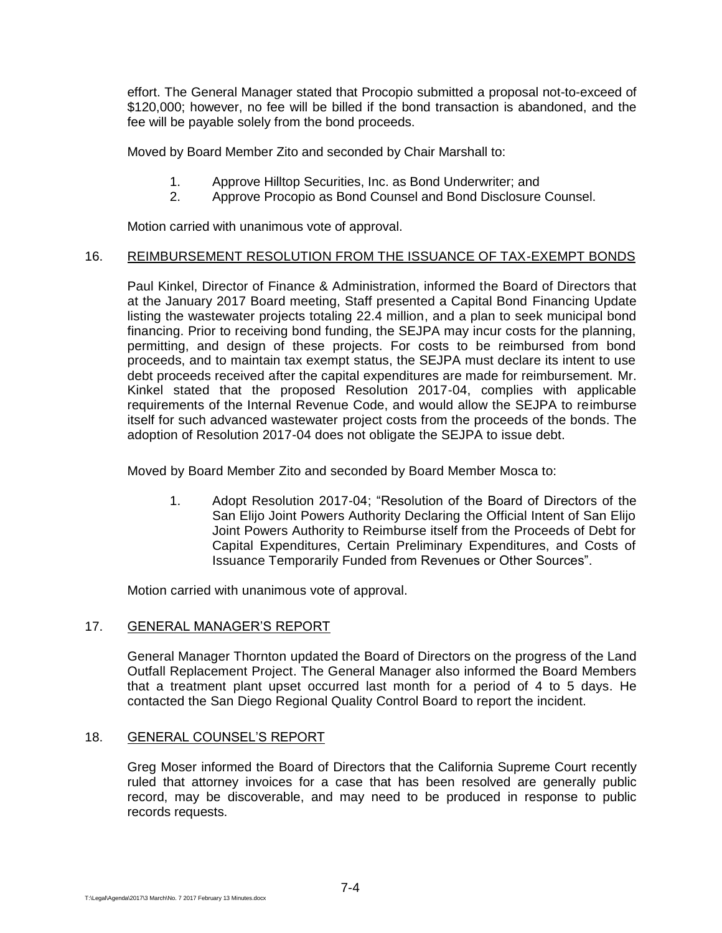effort. The General Manager stated that Procopio submitted a proposal not-to-exceed of \$120,000; however, no fee will be billed if the bond transaction is abandoned, and the fee will be payable solely from the bond proceeds.

Moved by Board Member Zito and seconded by Chair Marshall to:

- 1. Approve Hilltop Securities, Inc. as Bond Underwriter; and
- 2. Approve Procopio as Bond Counsel and Bond Disclosure Counsel.

Motion carried with unanimous vote of approval.

#### 16. REIMBURSEMENT RESOLUTION FROM THE ISSUANCE OF TAX-EXEMPT BONDS

Paul Kinkel, Director of Finance & Administration, informed the Board of Directors that at the January 2017 Board meeting, Staff presented a Capital Bond Financing Update listing the wastewater projects totaling 22.4 million, and a plan to seek municipal bond financing. Prior to receiving bond funding, the SEJPA may incur costs for the planning, permitting, and design of these projects. For costs to be reimbursed from bond proceeds, and to maintain tax exempt status, the SEJPA must declare its intent to use debt proceeds received after the capital expenditures are made for reimbursement. Mr. Kinkel stated that the proposed Resolution 2017-04, complies with applicable requirements of the Internal Revenue Code, and would allow the SEJPA to reimburse itself for such advanced wastewater project costs from the proceeds of the bonds. The adoption of Resolution 2017-04 does not obligate the SEJPA to issue debt.

Moved by Board Member Zito and seconded by Board Member Mosca to:

1. Adopt Resolution 2017-04; "Resolution of the Board of Directors of the San Elijo Joint Powers Authority Declaring the Official Intent of San Elijo Joint Powers Authority to Reimburse itself from the Proceeds of Debt for Capital Expenditures, Certain Preliminary Expenditures, and Costs of Issuance Temporarily Funded from Revenues or Other Sources".

Motion carried with unanimous vote of approval.

## 17. GENERAL MANAGER'S REPORT

General Manager Thornton updated the Board of Directors on the progress of the Land Outfall Replacement Project. The General Manager also informed the Board Members that a treatment plant upset occurred last month for a period of 4 to 5 days. He contacted the San Diego Regional Quality Control Board to report the incident.

#### 18. GENERAL COUNSEL'S REPORT

Greg Moser informed the Board of Directors that the California Supreme Court recently ruled that attorney invoices for a case that has been resolved are generally public record, may be discoverable, and may need to be produced in response to public records requests.